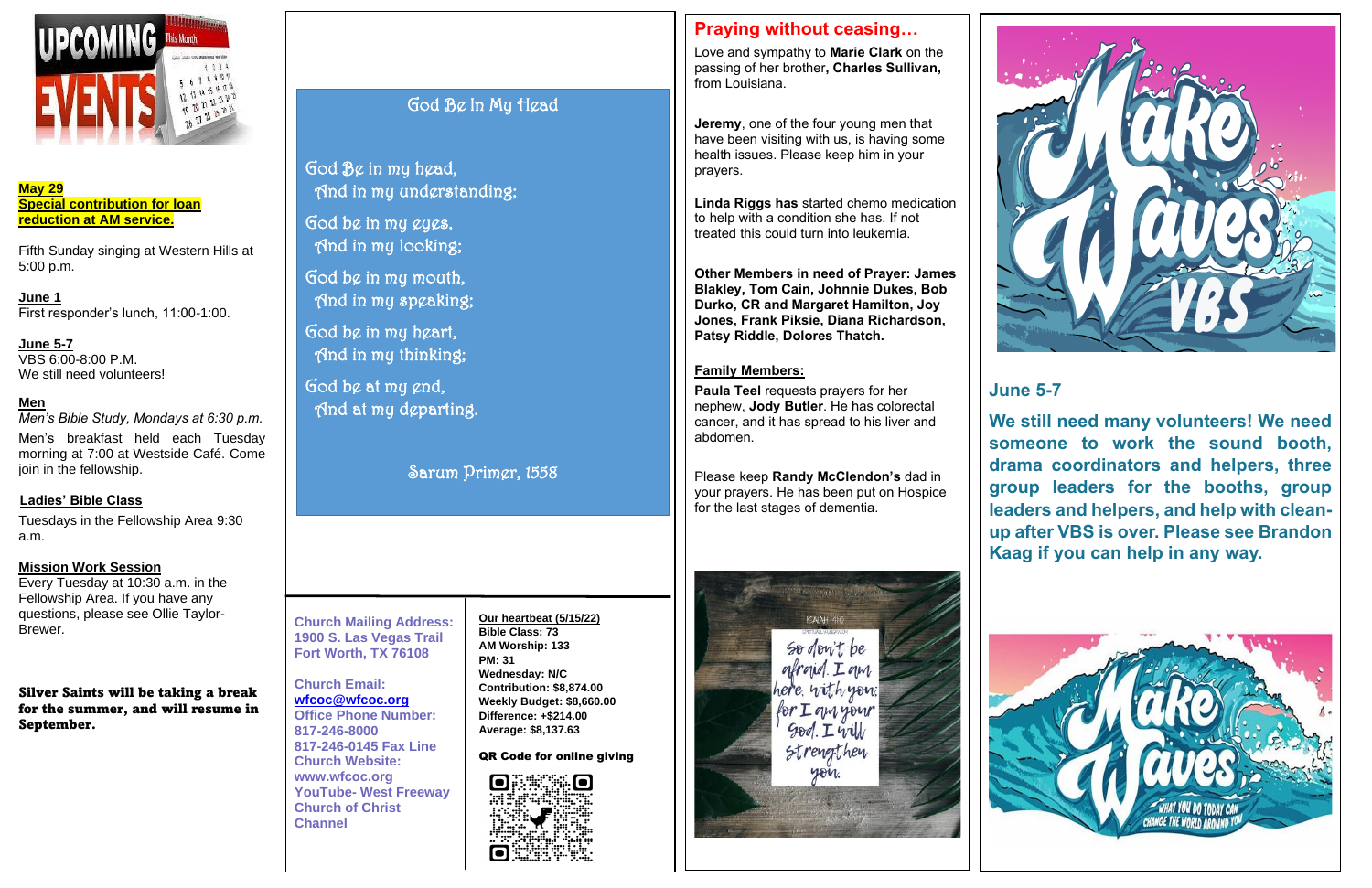

**May 29 Special contribution for loan reduction at AM service.**

**June 5-7** VBS 6:00-8:00 P.M. We still need volunteers!

Fifth Sunday singing at Western Hills at 5:00 p.m.

**June 1**  First responder's lunch, 11:00-1:00.

#### **Men**

*Men's Bible Study, Mondays at 6:30 p.m.*

Men's breakfast held each Tuesday morning at 7:00 at Westside Café. Come join in the fellowship.

#### **Ladies' Bible Class**

Tuesdays in the Fellowship Area 9:30 a.m.

#### **Mission Work Session**

Love and sympathy to **Marie Clark** on the passing of her brother**, Charles Sullivan,**  from Louisiana

Every Tuesday at 10:30 a.m. in the Fellowship Area. If you have any questions, please see Ollie Taylor-Brewer.

Silver Saints will be taking a break for the summer, and will resume in September.

#### **Church Mailing Address: 1900 S. Las Vegas Trail Fort Worth, TX 76108**

## **Church Email:**

**[wfcoc@wfcoc.org](mailto:wfcoc@wfcoc.org) Office Phone Number: 817-246-8000 817-246-0145 Fax Line Church Website: www.wfcoc.org YouTube- West Freeway Church of Christ Channel**

## **Praying without ceasing…**

**Jeremy**, one of the four young men that have been visiting with us, is having some health issues. Please keep him in your prayers.

**Linda Riggs has** started chemo medication to help with a condition she has. If not treated this could turn into leukemia.

**Other Members in need of Prayer: James Blakley, Tom Cain, Johnnie Dukes, Bob Durko, CR and Margaret Hamilton, Joy Jones, Frank Piksie, Diana Richardson, Patsy Riddle, Dolores Thatch.** 

#### **Family Members:**

**Paula Teel** requests prayers for her nephew, **Jody Butler**. He has colorectal cancer, and it has spread to his liver and abdomen.

Please keep **Randy McClendon's** dad in your prayers. He has been put on Hospice for the last stages of dementia.







### **June 5-7**

**We still need many volunteers! We need someone to work the sound booth, drama coordinators and helpers, three group leaders for the booths, group leaders and helpers, and help with cleanup after VBS is over. Please see Brandon Kaag if you can help in any way.** 



#### **Our heartbeat (5/15/22) Bible Class: 73 AM Worship: 133 PM: 31 Wednesday: N/C Contribution: \$8,874.00 Weekly Budget: \$8,660.00 Difference: +\$214.00 Average: \$8,137.63**

QR Code for online giving



## God Be In My Head

God Be in my head, And in my understanding;

God be in my eyes, And in my looking;

God be in my mouth, And in my speaking;

God be in my heart, And in my thinking;

God be at my end, And at my departing.

Sarum Primer, 1558